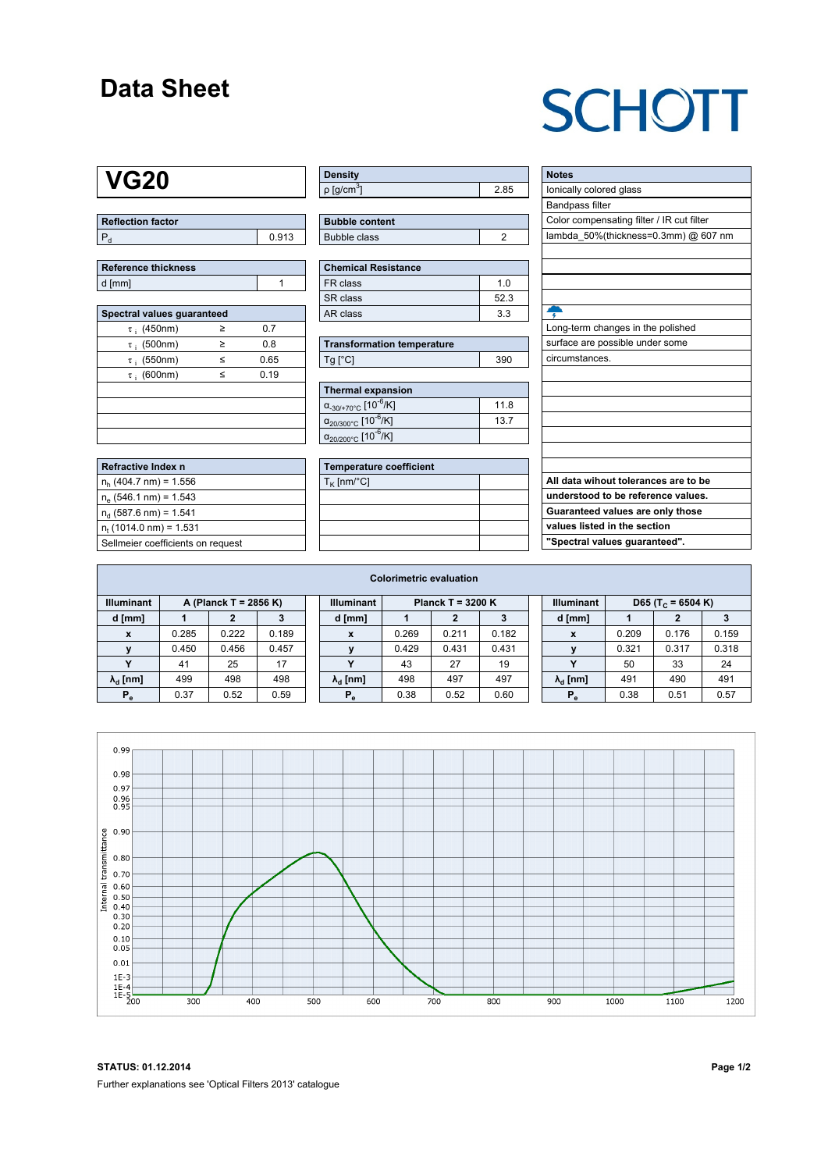#### **Data Sheet**

## **SCHOTT**

### **VG20**

| Reflection factor |       |
|-------------------|-------|
|                   | 0.913 |

| Reference thickness |  |
|---------------------|--|
| d [mm]              |  |

| Spectral values guaranteed |   |      |  |  |  |  |  |  |  |  |
|----------------------------|---|------|--|--|--|--|--|--|--|--|
| $\tau$ ; (450nm)           | ≥ | 0.7  |  |  |  |  |  |  |  |  |
| $\tau$ ; (500nm)           | ≥ | 0.8  |  |  |  |  |  |  |  |  |
| $\tau$ ; (550nm)           | < | 0.65 |  |  |  |  |  |  |  |  |
| $\tau$ ; (600nm)           | ≤ | 0.19 |  |  |  |  |  |  |  |  |
|                            |   |      |  |  |  |  |  |  |  |  |
|                            |   |      |  |  |  |  |  |  |  |  |
|                            |   |      |  |  |  |  |  |  |  |  |
|                            |   |      |  |  |  |  |  |  |  |  |

| <b>Refractive Index n</b>         |  |
|-----------------------------------|--|
| $n_h$ (404.7 nm) = 1.556          |  |
| $n_e$ (546.1 nm) = 1.543          |  |
| $n_d$ (587.6 nm) = 1.541          |  |
| $n_{t}$ (1014.0 nm) = 1.531       |  |
| Sellmeier coefficients on request |  |

| Density                  |  |
|--------------------------|--|
| $p$ [g/cm <sup>3</sup> ] |  |

| <b>Bubble content</b> |  |
|-----------------------|--|
| bble class            |  |

| Chemical Resistance |                |  |  |  |  |  |
|---------------------|----------------|--|--|--|--|--|
| FR class            | 1 <sub>0</sub> |  |  |  |  |  |
| l SR class          | 52.3           |  |  |  |  |  |
| l AR class          | 3.3            |  |  |  |  |  |

| <b>Transformation temperature</b> |     |  |  |  |  |
|-----------------------------------|-----|--|--|--|--|
| $Ta$ $C1$                         | 390 |  |  |  |  |

| Thermal expansion                                 |      |  |  |  |  |  |  |
|---------------------------------------------------|------|--|--|--|--|--|--|
| $\alpha_{-30/+70\degree}$ C [10 <sup>-6</sup> /K] | 11.8 |  |  |  |  |  |  |
| $\alpha_{20/300^{\circ}C}$ [10 <sup>-6</sup> /K]  | 137  |  |  |  |  |  |  |
| $\alpha_{20/200^{\circ}C}$ [10 $\overline{6}$ /K] |      |  |  |  |  |  |  |

| <b>Temperature coefficient</b> |  |  |  |  |  |  |  |
|--------------------------------|--|--|--|--|--|--|--|
| $T_K$ [nm/°C]                  |  |  |  |  |  |  |  |
|                                |  |  |  |  |  |  |  |
|                                |  |  |  |  |  |  |  |
|                                |  |  |  |  |  |  |  |
|                                |  |  |  |  |  |  |  |

| <b>Notes</b>                              |
|-------------------------------------------|
| lonically colored glass                   |
| <b>Bandpass filter</b>                    |
| Color compensating filter / IR cut filter |
| lambda_50%(thickness=0.3mm) @ 607 nm      |
|                                           |
|                                           |
|                                           |
|                                           |
|                                           |
| Long-term changes in the polished         |
| surface are possible under some           |
| circumstances.                            |
|                                           |
|                                           |
|                                           |
|                                           |
|                                           |
|                                           |
|                                           |
| All data wihout tolerances are to be      |
| understood to be reference values.        |
| Guaranteed values are only those          |
| values listed in the section              |
| "Spectral values quaranteed".             |
|                                           |

| <b>Colorimetric evaluation</b>             |       |       |       |                                          |                        |       |       |       |                   |                               |       |       |       |
|--------------------------------------------|-------|-------|-------|------------------------------------------|------------------------|-------|-------|-------|-------------------|-------------------------------|-------|-------|-------|
| <b>Illuminant</b><br>A (Planck T = 2856 K) |       |       |       | <b>Illuminant</b><br>Planck T = $3200 K$ |                        |       |       |       | <b>Illuminant</b> | D65 (T <sub>c</sub> = 6504 K) |       |       |       |
| d [mm]                                     |       |       |       |                                          | d [mm]                 |       |       |       |                   | d [mm]                        |       |       |       |
| X                                          | 0.285 | 0.222 | 0.189 |                                          | X                      | 0.269 | 0.211 | 0.182 |                   | X                             | 0.209 | 0.176 | 0.159 |
|                                            | 0.450 | 0.456 | 0.457 |                                          |                        | 0.429 | 0.431 | 0.431 |                   |                               | 0.321 | 0.317 | 0.318 |
| $\overline{\phantom{a}}$                   | 41    | 25    | 17    |                                          | v                      | 43    | 27    | 19    |                   | v                             | 50    | 33    | 24    |
| $\lambda_{\rm d}$ [nm]                     | 499   | 498   | 498   |                                          | $\lambda_{\rm d}$ [nm] | 498   | 497   | 497   |                   | $\lambda_{\rm d}$ [nm]        | 491   | 490   | 491   |
| $P_e$                                      | 0.37  | 0.52  | 0.59  |                                          | $P_e$                  | 0.38  | 0.52  | 0.60  |                   | $P_e$                         | 0.38  | 0.51  | 0.57  |
|                                            |       |       |       |                                          |                        |       |       |       |                   |                               |       |       |       |



**STATUS: 01.12.2014 Page 1/2** Further explanations see 'Optical Filters 2013' catalogue